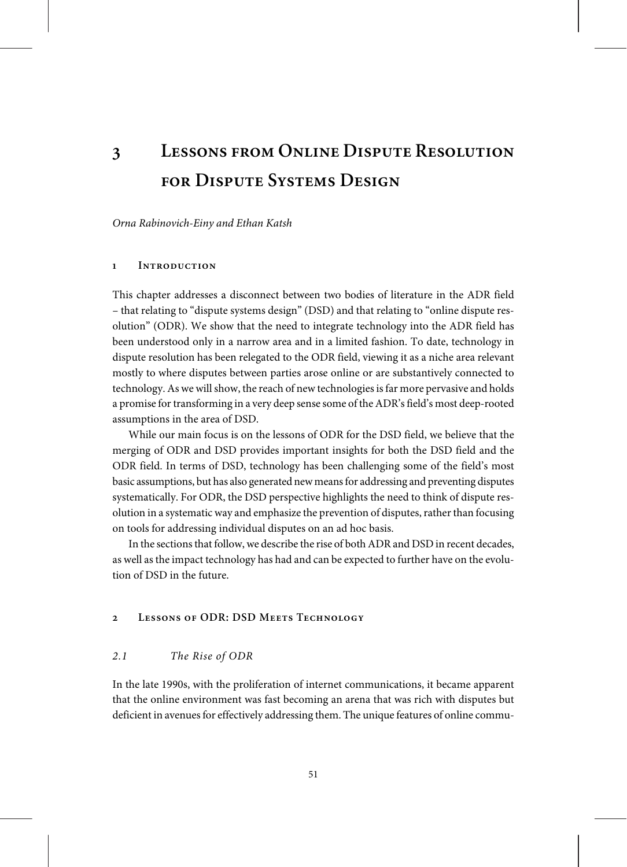Orna Rabinovich-Einy and Ethan Katsh

#### **1 Introduction**

This chapter addresses a disconnect between two bodies of literature in the ADR field – that relating to "dispute systems design" (DSD) and that relating to "online dispute resolution" (ODR). We show that the need to integrate technology into the ADR field has been understood only in a narrow area and in a limited fashion. To date, technology in dispute resolution has been relegated to the ODR field, viewing it as a niche area relevant mostly to where disputes between parties arose online or are substantively connected to technology. As we will show, the reach of new technologies is far more pervasive and holds a promise for transforming in a very deep sense some of the ADR's field's most deep-rooted assumptions in the area of DSD.

While our main focus is on the lessons of ODR for the DSD field, we believe that the merging of ODR and DSD provides important insights for both the DSD field and the ODR field. In terms of DSD, technology has been challenging some of the field's most basic assumptions, but has also generated new meansfor addressing and preventing disputes systematically. For ODR, the DSD perspective highlights the need to think of dispute resolution in a systematic way and emphasize the prevention of disputes, rather than focusing on tools for addressing individual disputes on an ad hoc basis.

In the sections that follow, we describe the rise of both ADR and DSD in recent decades, as well as the impact technology has had and can be expected to further have on the evolution of DSD in the future.

# **2 Lessons of ODR: DSD Meets Technology**

#### 2.1 The Rise of ODR

In the late 1990s, with the proliferation of internet communications, it became apparent that the online environment was fast becoming an arena that was rich with disputes but deficient in avenues for effectively addressing them. The unique features of online commu-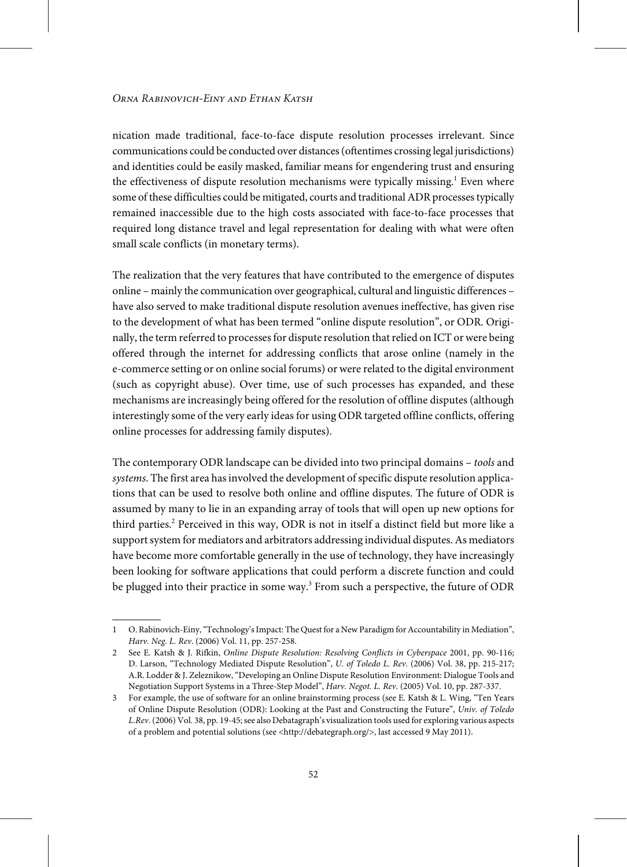nication made traditional, face-to-face dispute resolution processes irrelevant. Since communications could be conducted over distances(oftentimes crossing legal jurisdictions) and identities could be easily masked, familiar means for engendering trust and ensuring the effectiveness of dispute resolution mechanisms were typically missing. $^{\rm 1}$  Even where some of these difficulties could be mitigated, courts and traditional ADR processes typically remained inaccessible due to the high costs associated with face-to-face processes that required long distance travel and legal representation for dealing with what were often small scale conflicts (in monetary terms).

The realization that the very features that have contributed to the emergence of disputes online – mainly the communication over geographical, cultural and linguistic differences – have also served to make traditional dispute resolution avenues ineffective, has given rise to the development of what has been termed "online dispute resolution", or ODR. Originally, the term referred to processes for dispute resolution that relied on ICT or were being offered through the internet for addressing conflicts that arose online (namely in the e-commerce setting or on online social forums) or were related to the digital environment (such as copyright abuse). Over time, use of such processes has expanded, and these mechanisms are increasingly being offered for the resolution of offline disputes (although interestingly some of the very early ideas for using ODR targeted offline conflicts, offering online processes for addressing family disputes).

The contemporary ODR landscape can be divided into two principal domains – tools and systems. The first area has involved the development of specific dispute resolution applications that can be used to resolve both online and offline disputes. The future of ODR is assumed by many to lie in an expanding array of tools that will open up new options for third parties.<sup>2</sup> Perceived in this way, ODR is not in itself a distinct field but more like a support system for mediators and arbitrators addressing individual disputes. As mediators have become more comfortable generally in the use of technology, they have increasingly been looking for software applications that could perform a discrete function and could be plugged into their practice in some way.<sup>3</sup> From such a perspective, the future of ODR

<sup>1</sup> O. Rabinovich-Einy, "Technology's Impact: The Quest for a New Paradigm for Accountability in Mediation", Harv. Neg. L. Rev. (2006) Vol. 11, pp. 257-258.

<sup>2</sup> See E. Katsh & J. Rifkin, Online Dispute Resolution: Resolving Conflicts in Cyberspace 2001, pp. 90-116; D. Larson, "Technology Mediated Dispute Resolution", U. of Toledo L. Rev. (2006) Vol. 38, pp. 215-217; A.R. Lodder & J. Zeleznikow,"Developing an Online Dispute Resolution Environment: Dialogue Tools and Negotiation Support Systems in a Three-Step Model", Harv. Negot. L. Rev. (2005) Vol. 10, pp. 287-337.

<sup>3</sup> For example, the use of software for an online brainstorming process (see E. Katsh & L. Wing, "Ten Years of Online Dispute Resolution (ODR): Looking at the Past and Constructing the Future", Univ. of Toledo L.Rev. (2006) Vol. 38, pp. 19-45; see also Debatagraph's visualization tools used for exploring various aspects of a problem and potential solutions (see <http://debategraph.org/>, last accessed 9 May 2011).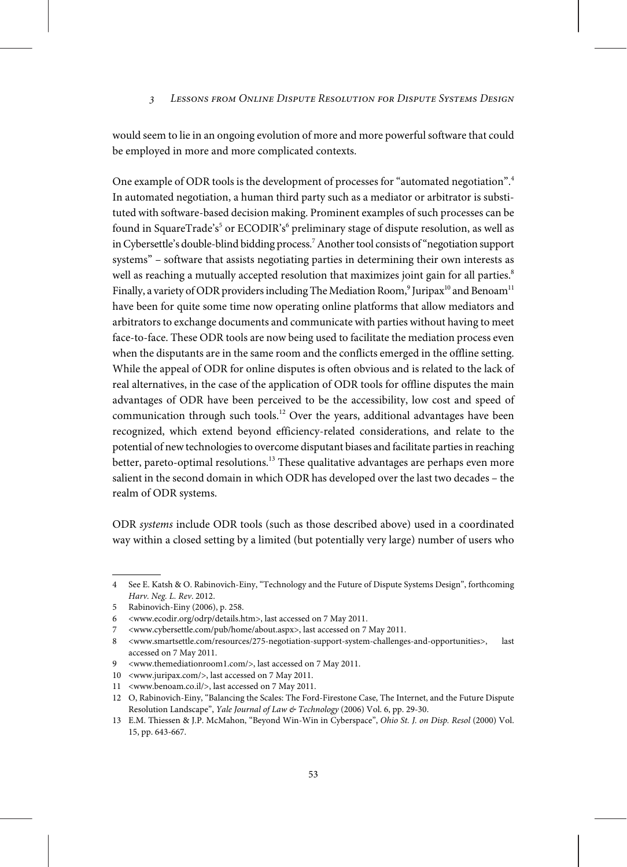would seem to lie in an ongoing evolution of more and more powerful software that could be employed in more and more complicated contexts.

One example of ODR tools is the development of processes for "automated negotiation".<sup>4</sup> In automated negotiation, a human third party such as a mediator or arbitrator is substituted with software-based decision making. Prominent examples of such processes can be found in SquareTrade's<sup>5</sup> or ECODIR's<sup>6</sup> preliminary stage of dispute resolution, as well as in Cybersettle's double-blind bidding process.<sup>7</sup> Another tool consists of "negotiation support systems" – software that assists negotiating parties in determining their own interests as well as reaching a mutually accepted resolution that maximizes joint gain for all parties.<sup>8</sup> Finally, a variety of ODR providers including The Mediation Room, $^9$  Juripax $^{\rm 10}$  and Benoam $^{\rm 11}$ have been for quite some time now operating online platforms that allow mediators and arbitrators to exchange documents and communicate with parties without having to meet face-to-face. These ODR tools are now being used to facilitate the mediation process even when the disputants are in the same room and the conflicts emerged in the offline setting. While the appeal of ODR for online disputes is often obvious and is related to the lack of real alternatives, in the case of the application of ODR tools for offline disputes the main advantages of ODR have been perceived to be the accessibility, low cost and speed of communication through such tools.<sup>12</sup> Over the years, additional advantages have been recognized, which extend beyond efficiency-related considerations, and relate to the potential of new technologies to overcome disputant biases and facilitate parties in reaching better, pareto-optimal resolutions.<sup>13</sup> These qualitative advantages are perhaps even more salient in the second domain in which ODR has developed over the last two decades – the realm of ODR systems.

ODR systems include ODR tools (such as those described above) used in a coordinated way within a closed setting by a limited (but potentially very large) number of users who

<sup>4</sup> See E. Katsh & O. Rabinovich-Einy, "Technology and the Future of Dispute Systems Design", forthcoming Harv. Neg. L. Rev. 2012.

<sup>5</sup> Rabinovich-Einy (2006), p. 258.

<sup>6</sup> <www.ecodir.org/odrp/details.htm>, last accessed on 7 May 2011.

<sup>7</sup> <www.cybersettle.com/pub/home/about.aspx>, last accessed on 7 May 2011.

<sup>8</sup> <www.smartsettle.com/resources/275-negotiation-support-system-challenges-and-opportunities>, last accessed on 7 May 2011.

<sup>9</sup> <www.themediationroom1.com/>, last accessed on 7 May 2011.

<sup>10</sup> <www.juripax.com/>, last accessed on 7 May 2011.

<sup>11</sup> <www.benoam.co.il/>, last accessed on 7 May 2011.

<sup>12</sup> O, Rabinovich-Einy, "Balancing the Scales: The Ford-Firestone Case, The Internet, and the Future Dispute Resolution Landscape", Yale Journal of Law & Technology (2006) Vol. 6, pp. 29-30.

<sup>13</sup> E.M. Thiessen & J.P. McMahon, "Beyond Win-Win in Cyberspace", Ohio St. J. on Disp. Resol (2000) Vol. 15, pp. 643-667.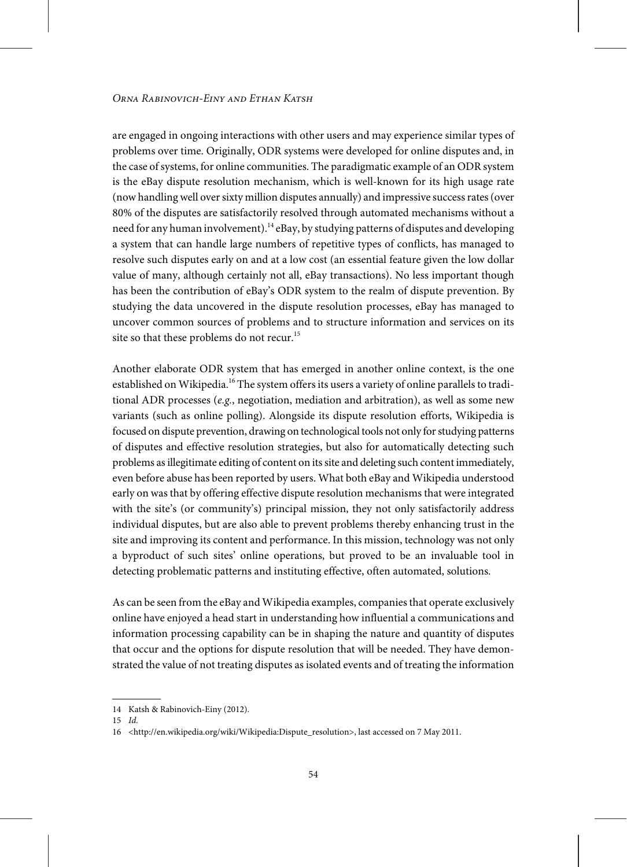are engaged in ongoing interactions with other users and may experience similar types of problems over time. Originally, ODR systems were developed for online disputes and, in the case of systems, for online communities. The paradigmatic example of an ODR system is the eBay dispute resolution mechanism, which is well-known for its high usage rate (nowhandlingwell oversixty million disputes annually) and impressive successrates(over 80% of the disputes are satisfactorily resolved through automated mechanisms without a need for any human involvement).<sup>14</sup> eBay, by studying patterns of disputes and developing a system that can handle large numbers of repetitive types of conflicts, has managed to resolve such disputes early on and at a low cost (an essential feature given the low dollar value of many, although certainly not all, eBay transactions). No less important though has been the contribution of eBay's ODR system to the realm of dispute prevention. By studying the data uncovered in the dispute resolution processes, eBay has managed to uncover common sources of problems and to structure information and services on its site so that these problems do not recur.<sup>15</sup>

Another elaborate ODR system that has emerged in another online context, is the one established on Wikipedia.<sup>16</sup> The system offers its users a variety of online parallels to traditional ADR processes (e.g., negotiation, mediation and arbitration), as well as some new variants (such as online polling). Alongside its dispute resolution efforts, Wikipedia is focused on dispute prevention, drawing on technological tools not only forstudying patterns of disputes and effective resolution strategies, but also for automatically detecting such problems asillegitimate editing of content on itssite and deleting such content immediately, even before abuse has been reported by users. What both eBay and Wikipedia understood early on was that by offering effective dispute resolution mechanisms that were integrated with the site's (or community's) principal mission, they not only satisfactorily address individual disputes, but are also able to prevent problems thereby enhancing trust in the site and improving its content and performance. In this mission, technology was not only a byproduct of such sites' online operations, but proved to be an invaluable tool in detecting problematic patterns and instituting effective, often automated, solutions.

As can be seen from the eBay and Wikipedia examples, companies that operate exclusively online have enjoyed a head start in understanding how influential a communications and information processing capability can be in shaping the nature and quantity of disputes that occur and the options for dispute resolution that will be needed. They have demonstrated the value of not treating disputes as isolated events and of treating the information

<sup>14</sup> Katsh & Rabinovich-Einy (2012).

<sup>15</sup> Id.

<sup>16 &</sup>lt;http://en.wikipedia.org/wiki/Wikipedia:Dispute\_resolution>, last accessed on 7 May 2011.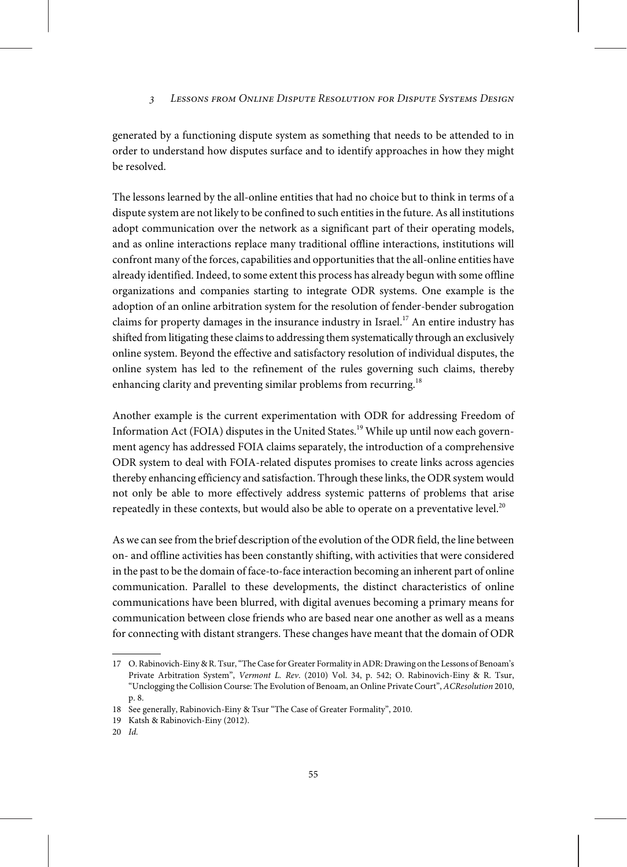generated by a functioning dispute system as something that needs to be attended to in order to understand how disputes surface and to identify approaches in how they might be resolved.

The lessons learned by the all-online entities that had no choice but to think in terms of a dispute system are not likely to be confined to such entities in the future. As all institutions adopt communication over the network as a significant part of their operating models, and as online interactions replace many traditional offline interactions, institutions will confront many of the forces, capabilities and opportunities that the all-online entities have already identified. Indeed, to some extent this process has already begun with some offline organizations and companies starting to integrate ODR systems. One example is the adoption of an online arbitration system for the resolution of fender-bender subrogation claims for property damages in the insurance industry in Israel.<sup>17</sup> An entire industry has shifted from litigating these claims to addressing them systematically through an exclusively online system. Beyond the effective and satisfactory resolution of individual disputes, the online system has led to the refinement of the rules governing such claims, thereby enhancing clarity and preventing similar problems from recurring.<sup>18</sup>

Another example is the current experimentation with ODR for addressing Freedom of Information Act (FOIA) disputes in the United States.<sup>19</sup> While up until now each government agency has addressed FOIA claims separately, the introduction of a comprehensive ODR system to deal with FOIA-related disputes promises to create links across agencies thereby enhancing efficiency and satisfaction. Through these links, the ODR system would not only be able to more effectively address systemic patterns of problems that arise repeatedly in these contexts, but would also be able to operate on a preventative level. $^{20}$ 

Aswe can see from the brief description of the evolution of the ODR field, the line between on- and offline activities has been constantly shifting, with activities that were considered in the past to be the domain of face-to-face interaction becoming an inherent part of online communication. Parallel to these developments, the distinct characteristics of online communications have been blurred, with digital avenues becoming a primary means for communication between close friends who are based near one another as well as a means for connecting with distant strangers. These changes have meant that the domain of ODR

<sup>17</sup> O. Rabinovich-Einy & R. Tsur,"TheCase for Greater Formality inADR: Drawing on the Lessons of Benoam's Private Arbitration System", Vermont L. Rev. (2010) Vol. 34, p. 542; O. Rabinovich-Einy & R. Tsur, "Unclogging the Collision Course: The Evolution of Benoam, an Online Private Court", ACResolution 2010, p. 8.

<sup>18</sup> See generally, Rabinovich-Einy & Tsur "The Case of Greater Formality", 2010.

<sup>19</sup> Katsh & Rabinovich-Einy (2012).

<sup>20</sup> Id.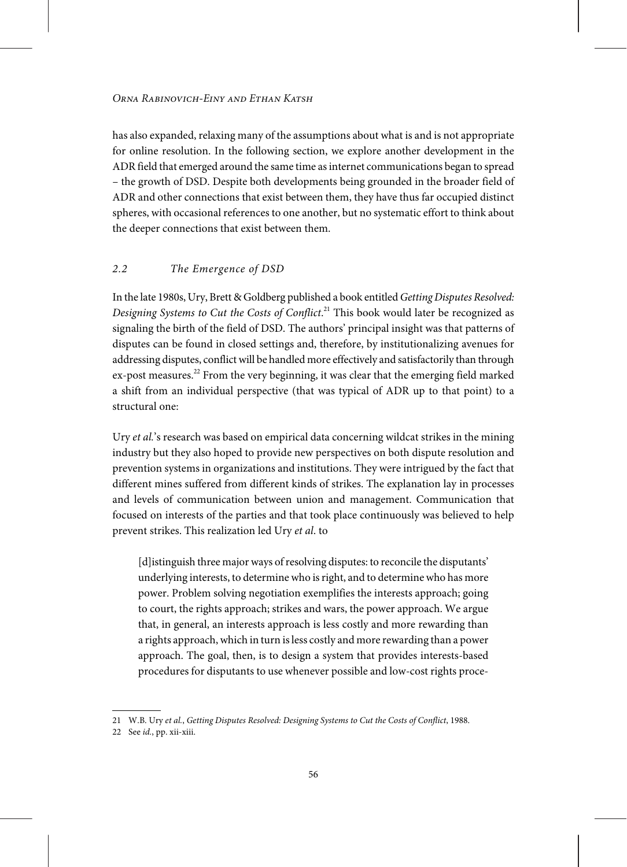has also expanded, relaxing many of the assumptions about what is and is not appropriate for online resolution. In the following section, we explore another development in the ADR field that emerged around the same time asinternet communications began to spread – the growth of DSD. Despite both developments being grounded in the broader field of ADR and other connections that exist between them, they have thus far occupied distinct spheres, with occasional references to one another, but no systematic effort to think about the deeper connections that exist between them.

# 2.2 The Emergence of DSD

In the late 1980s, Ury, Brett & Goldberg published a book entitled Getting Disputes Resolved: Designing Systems to Cut the Costs of Conflict.<sup>21</sup> This book would later be recognized as signaling the birth of the field of DSD. The authors' principal insight was that patterns of disputes can be found in closed settings and, therefore, by institutionalizing avenues for addressing disputes, conflict will be handled more effectively and satisfactorily than through  $ex$ -post measures.<sup>22</sup> From the very beginning, it was clear that the emerging field marked a shift from an individual perspective (that was typical of ADR up to that point) to a structural one:

Ury et al.'s research was based on empirical data concerning wildcat strikes in the mining industry but they also hoped to provide new perspectives on both dispute resolution and prevention systems in organizations and institutions. They were intrigued by the fact that different mines suffered from different kinds of strikes. The explanation lay in processes and levels of communication between union and management. Communication that focused on interests of the parties and that took place continuously was believed to help prevent strikes. This realization led Ury et al. to

[d] istinguish three major ways of resolving disputes: to reconcile the disputants' underlying interests, to determinewho isright, and to determinewho has more power. Problem solving negotiation exemplifies the interests approach; going to court, the rights approach; strikes and wars, the power approach. We argue that, in general, an interests approach is less costly and more rewarding than a rights approach,which in turn isless costly and more rewarding than a power approach. The goal, then, is to design a system that provides interests-based procedures for disputants to use whenever possible and low-cost rights proce-

<sup>21</sup> W.B. Ury et al., Getting Disputes Resolved: Designing Systems to Cut the Costs of Conflict, 1988.

<sup>22</sup> See id., pp. xii-xiii.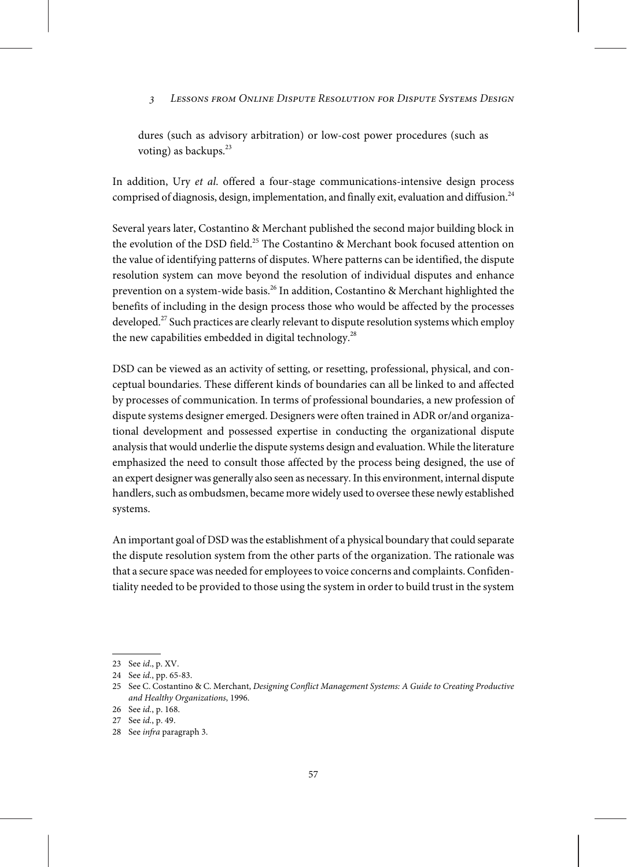dures (such as advisory arbitration) or low-cost power procedures (such as voting) as backups.<sup>23</sup>

In addition, Ury et al. offered a four-stage communications-intensive design process comprised of diagnosis, design, implementation, and finally exit, evaluation and diffusion.<sup>24</sup>

Several years later, Costantino & Merchant published the second major building block in the evolution of the DSD field.<sup>25</sup> The Costantino & Merchant book focused attention on the value of identifying patterns of disputes. Where patterns can be identified, the dispute resolution system can move beyond the resolution of individual disputes and enhance prevention on a system-wide basis.<sup>26</sup> In addition, Costantino & Merchant highlighted the benefits of including in the design process those who would be affected by the processes developed.<sup>27</sup> Such practices are clearly relevant to dispute resolution systems which employ the new capabilities embedded in digital technology.<sup>28</sup>

DSD can be viewed as an activity of setting, or resetting, professional, physical, and conceptual boundaries. These different kinds of boundaries can all be linked to and affected by processes of communication. In terms of professional boundaries, a new profession of dispute systems designer emerged. Designers were often trained in ADR or/and organizational development and possessed expertise in conducting the organizational dispute analysis that would underlie the dispute systems design and evaluation. While the literature emphasized the need to consult those affected by the process being designed, the use of an expert designer was generally also seen as necessary. In this environment, internal dispute handlers, such as ombudsmen, became more widely used to oversee these newly established systems.

An important goal of DSD wasthe establishment of a physical boundary that could separate the dispute resolution system from the other parts of the organization. The rationale was that a secure space was needed for employees to voice concerns and complaints. Confidentiality needed to be provided to those using the system in order to build trust in the system

<sup>23</sup> See id., p. XV.

<sup>24</sup> See id., pp. 65-83.

<sup>25</sup> See C. Costantino & C. Merchant, Designing Conflict Management Systems: A Guide to Creating Productive and Healthy Organizations, 1996.

<sup>26</sup> See id., p. 168.

<sup>27</sup> See id., p. 49.

<sup>28</sup> See infra paragraph 3.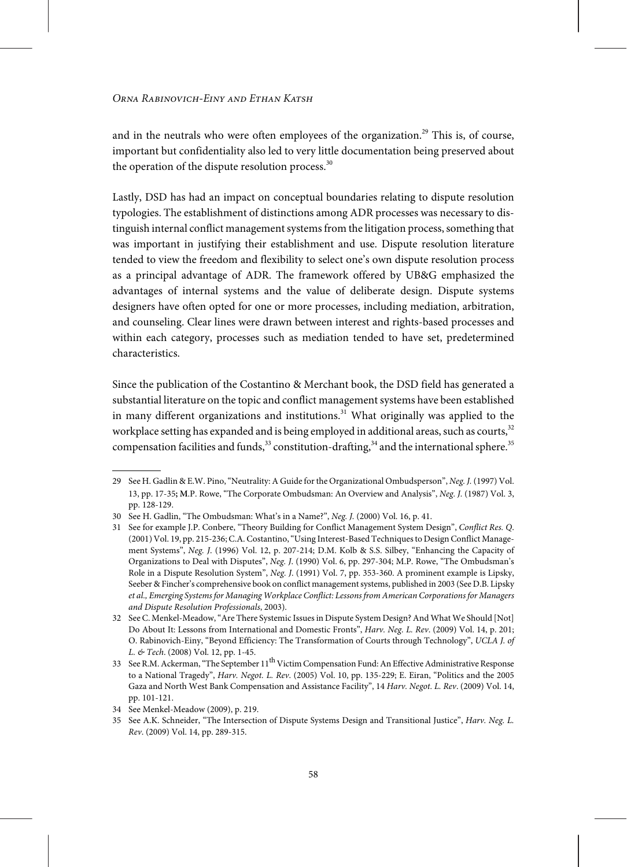and in the neutrals who were often employees of the organization.<sup>29</sup> This is, of course, important but confidentiality also led to very little documentation being preserved about the operation of the dispute resolution process. $30$ 

Lastly, DSD has had an impact on conceptual boundaries relating to dispute resolution typologies. The establishment of distinctions among ADR processes was necessary to distinguish internal conflict management systems from the litigation process, something that was important in justifying their establishment and use. Dispute resolution literature tended to view the freedom and flexibility to select one's own dispute resolution process as a principal advantage of ADR. The framework offered by UB&G emphasized the advantages of internal systems and the value of deliberate design. Dispute systems designers have often opted for one or more processes, including mediation, arbitration, and counseling. Clear lines were drawn between interest and rights-based processes and within each category, processes such as mediation tended to have set, predetermined characteristics.

Since the publication of the Costantino & Merchant book, the DSD field has generated a substantial literature on the topic and conflict management systems have been established in many different organizations and institutions. $31$  What originally was applied to the workplace setting has expanded and is being employed in additional areas, such as courts,  $32$ compensation facilities and funds,  $33$  constitution-drafting,  $34$  and the international sphere.  $35$ 

<sup>29</sup> See H. Gadlin & E.W. Pino,"Neutrality: A Guide forthe Organizational Ombudsperson", Neg. J. (1997) Vol. 13, pp. 17-35**; M**.P. Rowe, "The Corporate Ombudsman: An Overview and Analysis", Neg. J. (1987) Vol. 3, pp. 128-129.

<sup>30</sup> See H. Gadlin, "The Ombudsman: What's in a Name?", Neg. J. (2000) Vol. 16, p. 41.

<sup>31</sup> See for example J.P. Conbere, "Theory Building for Conflict Management System Design", Conflict Res. Q. (2001) Vol. 19, pp. 215-236; C.A. Costantino, "Using Interest-Based Techniques to Design Conflict Management Systems", Neg. J. (1996) Vol. 12, p. 207-214; D.M. Kolb & S.S. Silbey, "Enhancing the Capacity of Organizations to Deal with Disputes", Neg. J. (1990) Vol. 6, pp. 297-304; M.P. Rowe, "The Ombudsman's Role in a Dispute Resolution System", Neg. J. (1991) Vol. 7, pp. 353-360. A prominent example is Lipsky, Seeber & Fincher's comprehensive book on conflict managementsystems, published in 2003 (See D.B. Lipsky et al., Emerging Systems for Managing Workplace Conflict: Lessons from American Corporations for Managers and Dispute Resolution Professionals, 2003).

<sup>32</sup> See C. Menkel-Meadow, "Are There Systemic Issues in Dispute System Design? And What We Should [Not] Do About It: Lessons from International and Domestic Fronts", Harv. Neg. L. Rev. (2009) Vol. 14, p. 201; O. Rabinovich-Einy, "Beyond Efficiency: The Transformation of Courts through Technology", UCLA J. of L. & Tech. (2008) Vol. 12, pp. 1-45.

<sup>33</sup> See R.M. Ackerman, "The September 11<sup>th</sup> Victim Compensation Fund: An Effective Administrative Response to a National Tragedy", Harv. Negot. L. Rev. (2005) Vol. 10, pp. 135-229; E. Eiran, "Politics and the 2005 Gaza and North West Bank Compensation and Assistance Facility", 14 Harv. Negot. L. Rev. (2009) Vol. 14, pp. 101-121.

<sup>34</sup> See Menkel-Meadow (2009), p. 219.

<sup>35</sup> See A.K. Schneider, "The Intersection of Dispute Systems Design and Transitional Justice", Harv. Neg. L. Rev. (2009) Vol. 14, pp. 289-315.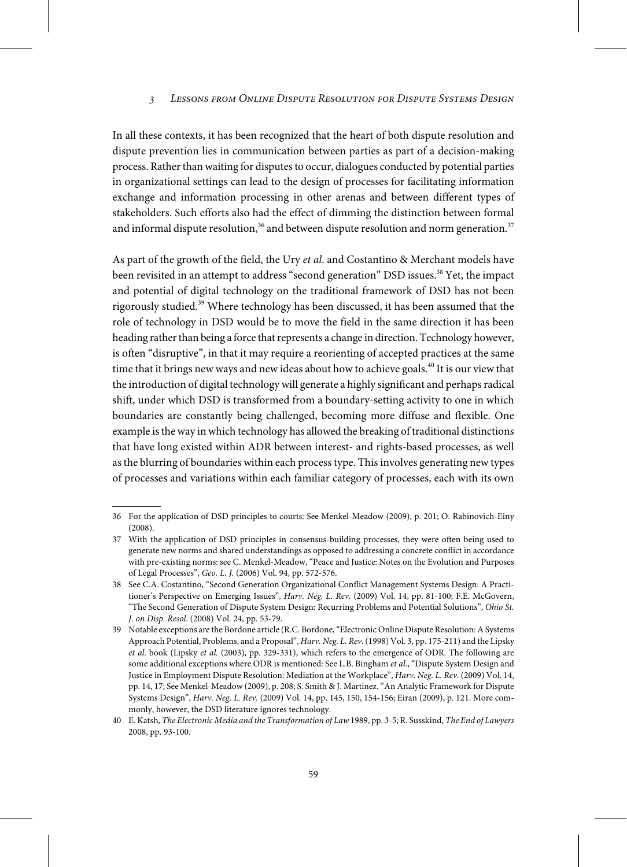In all these contexts, it has been recognized that the heart of both dispute resolution and dispute prevention lies in communication between parties as part of a decision-making process. Rather than waiting for disputes to occur, dialogues conducted by potential parties in organizational settings can lead to the design of processes for facilitating information exchange and information processing in other arenas and between different types of stakeholders. Such efforts also had the effect of dimming the distinction between formal and informal dispute resolution,<sup>36</sup> and between dispute resolution and norm generation.<sup>37</sup>

As part of the growth of the field, the Ury et al. and Costantino & Merchant models have been revisited in an attempt to address "second generation" DSD issues.<sup>38</sup> Yet, the impact and potential of digital technology on the traditional framework of DSD has not been rigorously studied.<sup>39</sup> Where technology has been discussed, it has been assumed that the role of technology in DSD would be to move the field in the same direction it has been heading rather than being a force that represents a change in direction. Technology however, is often "disruptive", in that it may require a reorienting of accepted practices at the same time that it brings new ways and new ideas about how to achieve goals.<sup>40</sup> It is our view that the introduction of digital technology will generate a highly significant and perhaps radical shift, under which DSD is transformed from a boundary-setting activity to one in which boundaries are constantly being challenged, becoming more diffuse and flexible. One example is the way in which technology has allowed the breaking of traditional distinctions that have long existed within ADR between interest- and rights-based processes, as well as the blurring of boundaries within each process type. This involves generating new types of processes and variations within each familiar category of processes, each with its own

<sup>36</sup> For the application of DSD principles to courts: See Menkel-Meadow (2009), p. 201; O. Rabinovich-Einy (2008).

<sup>37</sup> With the application of DSD principles in consensus-building processes, they were often being used to generate new norms and shared understandings as opposed to addressing a concrete conflict in accordance with pre-existing norms: see C. Menkel-Meadow, "Peace and Justice: Notes on the Evolution and Purposes of Legal Processes", Geo. L. J. (2006) Vol. 94, pp. 572-576.

<sup>38</sup> See C.A. Costantino, "Second Generation Organizational Conflict Management Systems Design: A Practitioner's Perspective on Emerging Issues", Harv. Neg. L. Rev. (2009) Vol. 14, pp. 81-100; F.E. McGovern, "The Second Generation of Dispute System Design: Recurring Problems and Potential Solutions", Ohio St. J. on Disp. Resol. (2008) Vol. 24, pp. 53-79.

<sup>39</sup> Notable exceptions are the Bordone article (R.C. Bordone,"Electronic Online Dispute Resolution:ASystems Approach Potential, Problems, and a Proposal", Harv. Neg. L. Rev. (1998) Vol. 3, pp. 175-211) and the Lipsky et al. book (Lipsky et al. (2003), pp. 329-331), which refers to the emergence of ODR. The following are some additional exceptions where ODR is mentioned: See L.B. Bingham et al., "Dispute System Design and Justice in Employment Dispute Resolution: Mediation at the Workplace", Harv. Neg. L. Rev. (2009) Vol. 14, pp. 14, 17; See Menkel-Meadow (2009), p. 208; S. Smith & J. Martinez,"An Analytic Framework for Dispute Systems Design", Harv. Neg. L. Rev. (2009) Vol. 14, pp. 145, 150, 154-156; Eiran (2009), p. 121. More commonly, however, the DSD literature ignores technology.

<sup>40</sup> E.Katsh, The Electronic Media and the Transformation of Law1989, pp. 3-5; R. Susskind, The End of Lawyers 2008, pp. 93-100.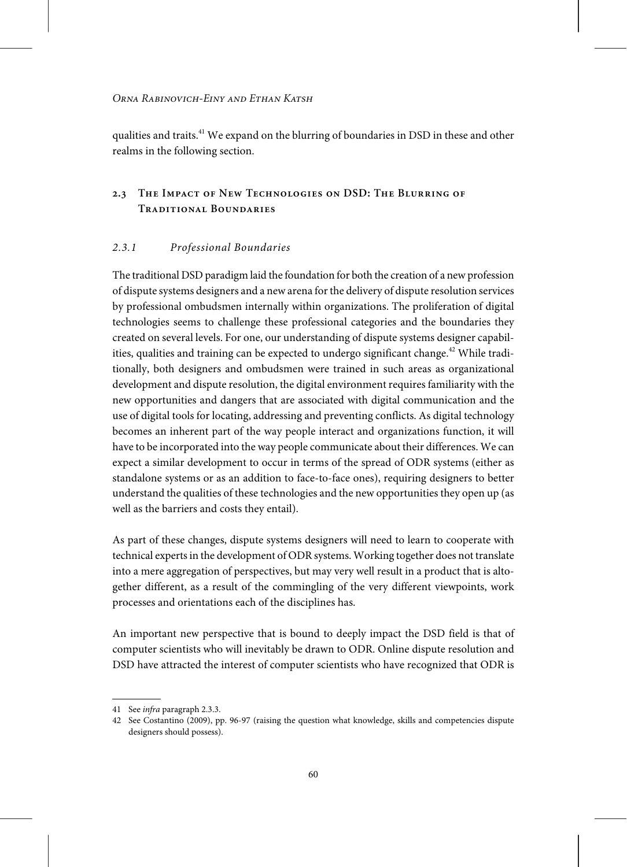qualities and traits.<sup>41</sup> We expand on the blurring of boundaries in DSD in these and other realms in the following section.

# **2.3 The Impact of New Technologies on DSD: The Blurring of Traditional Boundaries**

# 2.3.1 Professional Boundaries

The traditional DSD paradigm laid the foundation for both the creation of a newprofession of dispute systems designers and a newarena forthe delivery of dispute resolution services by professional ombudsmen internally within organizations. The proliferation of digital technologies seems to challenge these professional categories and the boundaries they created on several levels. For one, our understanding of dispute systems designer capabilities, qualities and training can be expected to undergo significant change.<sup>42</sup> While traditionally, both designers and ombudsmen were trained in such areas as organizational development and dispute resolution, the digital environment requires familiarity with the new opportunities and dangers that are associated with digital communication and the use of digital tools for locating, addressing and preventing conflicts. As digital technology becomes an inherent part of the way people interact and organizations function, it will have to be incorporated into the way people communicate about their differences. We can expect a similar development to occur in terms of the spread of ODR systems (either as standalone systems or as an addition to face-to-face ones), requiring designers to better understand the qualities of these technologies and the new opportunities they open up (as well as the barriers and costs they entail).

As part of these changes, dispute systems designers will need to learn to cooperate with technical expertsin the development of ODR systems. Working together does not translate into a mere aggregation of perspectives, but may very well result in a product that is altogether different, as a result of the commingling of the very different viewpoints, work processes and orientations each of the disciplines has.

An important new perspective that is bound to deeply impact the DSD field is that of computer scientists who will inevitably be drawn to ODR. Online dispute resolution and DSD have attracted the interest of computer scientists who have recognized that ODR is

<sup>41</sup> See infra paragraph 2.3.3.

<sup>42</sup> See Costantino (2009), pp. 96-97 (raising the question what knowledge, skills and competencies dispute designers should possess).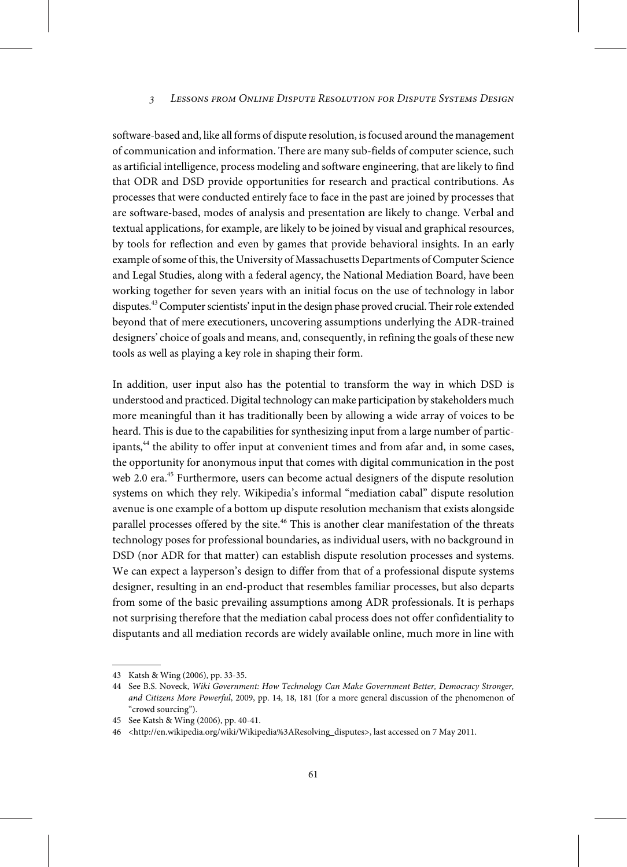software-based and, like all forms of dispute resolution, isfocused around the management of communication and information. There are many sub-fields of computer science, such as artificial intelligence, process modeling and software engineering, that are likely to find that ODR and DSD provide opportunities for research and practical contributions. As processes that were conducted entirely face to face in the past are joined by processes that are software-based, modes of analysis and presentation are likely to change. Verbal and textual applications, for example, are likely to be joined by visual and graphical resources, by tools for reflection and even by games that provide behavioral insights. In an early example of some of this, the University of Massachusetts Departments of Computer Science and Legal Studies, along with a federal agency, the National Mediation Board, have been working together for seven years with an initial focus on the use of technology in labor disputes.<sup>43</sup> Computer scientists' input in the design phase proved crucial. Their role extended beyond that of mere executioners, uncovering assumptions underlying the ADR-trained designers' choice of goals and means, and, consequently, in refining the goals of these new tools as well as playing a key role in shaping their form.

In addition, user input also has the potential to transform the way in which DSD is understood and practiced. Digital technology can make participation by stakeholders much more meaningful than it has traditionally been by allowing a wide array of voices to be heard. This is due to the capabilities for synthesizing input from a large number of participants,<sup>44</sup> the ability to offer input at convenient times and from afar and, in some cases, the opportunity for anonymous input that comes with digital communication in the post web 2.0 era.<sup>45</sup> Furthermore, users can become actual designers of the dispute resolution systems on which they rely. Wikipedia's informal "mediation cabal" dispute resolution avenue is one example of a bottom up dispute resolution mechanism that exists alongside parallel processes offered by the site.<sup>46</sup> This is another clear manifestation of the threats technology poses for professional boundaries, as individual users, with no background in DSD (nor ADR for that matter) can establish dispute resolution processes and systems. We can expect a layperson's design to differ from that of a professional dispute systems designer, resulting in an end-product that resembles familiar processes, but also departs from some of the basic prevailing assumptions among ADR professionals. It is perhaps not surprising therefore that the mediation cabal process does not offer confidentiality to disputants and all mediation records are widely available online, much more in line with

<sup>43</sup> Katsh & Wing (2006), pp. 33-35.

<sup>44</sup> See B.S. Noveck, Wiki Government: How Technology Can Make Government Better, Democracy Stronger, and Citizens More Powerful, 2009, pp. 14, 18, 181 (for a more general discussion of the phenomenon of "crowd sourcing").

<sup>45</sup> See Katsh & Wing (2006), pp. 40-41.

<sup>46</sup> <http://en.wikipedia.org/wiki/Wikipedia%3AResolving\_disputes>, last accessed on 7 May 2011.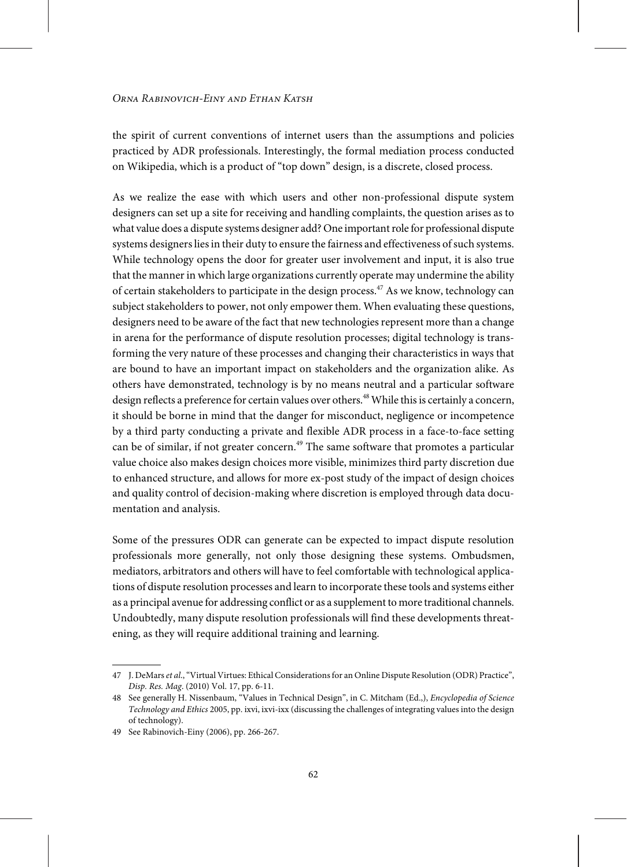the spirit of current conventions of internet users than the assumptions and policies practiced by ADR professionals. Interestingly, the formal mediation process conducted on Wikipedia, which is a product of "top down" design, is a discrete, closed process.

As we realize the ease with which users and other non-professional dispute system designers can set up a site for receiving and handling complaints, the question arises as to what value does a dispute systems designer add? One importantrole for professional dispute systems designers lies in their duty to ensure the fairness and effectiveness of such systems. While technology opens the door for greater user involvement and input, it is also true that the mannerin which large organizations currently operate may undermine the ability of certain stakeholders to participate in the design process.<sup>47</sup> As we know, technology can subject stakeholders to power, not only empower them. When evaluating these questions, designers need to be aware of the fact that new technologies represent more than a change in arena for the performance of dispute resolution processes; digital technology is transforming the very nature of these processes and changing their characteristics in ways that are bound to have an important impact on stakeholders and the organization alike. As others have demonstrated, technology is by no means neutral and a particular software design reflects a preference for certain values over others.<sup>48</sup> While this is certainly a concern, it should be borne in mind that the danger for misconduct, negligence or incompetence by a third party conducting a private and flexible ADR process in a face-to-face setting can be of similar, if not greater concern.<sup> $49$ </sup> The same software that promotes a particular value choice also makes design choices more visible, minimizes third party discretion due to enhanced structure, and allows for more ex-post study of the impact of design choices and quality control of decision-making where discretion is employed through data documentation and analysis.

Some of the pressures ODR can generate can be expected to impact dispute resolution professionals more generally, not only those designing these systems. Ombudsmen, mediators, arbitrators and others will have to feel comfortable with technological applications of dispute resolution processes and learn to incorporate these tools and systems either as a principal avenue for addressing conflict or as a supplement to more traditional channels. Undoubtedly, many dispute resolution professionals will find these developments threatening, as they will require additional training and learning.

<sup>47</sup> J. DeMars et al., "Virtual Virtues: Ethical Considerations for an Online Dispute Resolution (ODR) Practice", Disp. Res. Mag. (2010) Vol. 17, pp. 6-11.

<sup>48</sup> See generally H. Nissenbaum, "Values in Technical Design", in C. Mitcham (Ed.,), Encyclopedia of Science Technology and Ethics 2005, pp. ixvi, ixvi-ixx (discussing the challenges of integrating values into the design of technology).

<sup>49</sup> See Rabinovich-Einy (2006), pp. 266-267.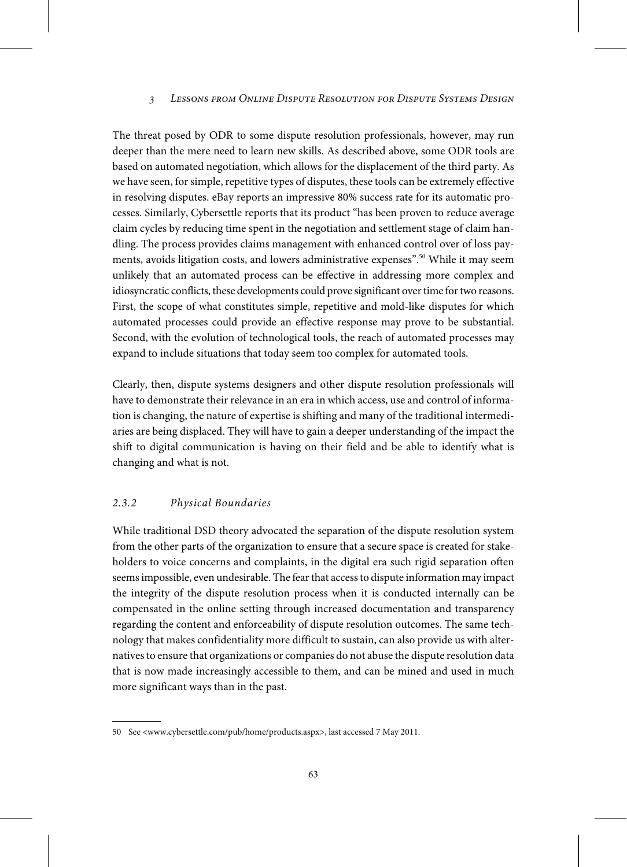The threat posed by ODR to some dispute resolution professionals, however, may run deeper than the mere need to learn new skills. As described above, some ODR tools are based on automated negotiation, which allows for the displacement of the third party. As we have seen, for simple, repetitive types of disputes, these tools can be extremely effective in resolving disputes. eBay reports an impressive 80% success rate for its automatic processes. Similarly, Cybersettle reports that its product "has been proven to reduce average claim cycles by reducing time spent in the negotiation and settlement stage of claim handling. The process provides claims management with enhanced control over of loss payments, avoids litigation costs, and lowers administrative expenses". <sup>50</sup> While it may seem unlikely that an automated process can be effective in addressing more complex and idiosyncratic conflicts, these developments could prove significant overtime fortwo reasons. First, the scope of what constitutes simple, repetitive and mold-like disputes for which automated processes could provide an effective response may prove to be substantial. Second, with the evolution of technological tools, the reach of automated processes may expand to include situations that today seem too complex for automated tools.

Clearly, then, dispute systems designers and other dispute resolution professionals will have to demonstrate their relevance in an era in which access, use and control of information is changing, the nature of expertise is shifting and many of the traditional intermediaries are being displaced. They will have to gain a deeper understanding of the impact the shift to digital communication is having on their field and be able to identify what is changing and what is not.

#### 2.3.2 Physical Boundaries

While traditional DSD theory advocated the separation of the dispute resolution system from the other parts of the organization to ensure that a secure space is created for stakeholders to voice concerns and complaints, in the digital era such rigid separation often seemsimpossible, even undesirable. The fearthat accessto dispute information may impact the integrity of the dispute resolution process when it is conducted internally can be compensated in the online setting through increased documentation and transparency regarding the content and enforceability of dispute resolution outcomes. The same technology that makes confidentiality more difficult to sustain, can also provide us with alternatives to ensure that organizations or companies do not abuse the dispute resolution data that is now made increasingly accessible to them, and can be mined and used in much more significant ways than in the past.

<sup>50</sup> See <www.cybersettle.com/pub/home/products.aspx>, last accessed 7 May 2011.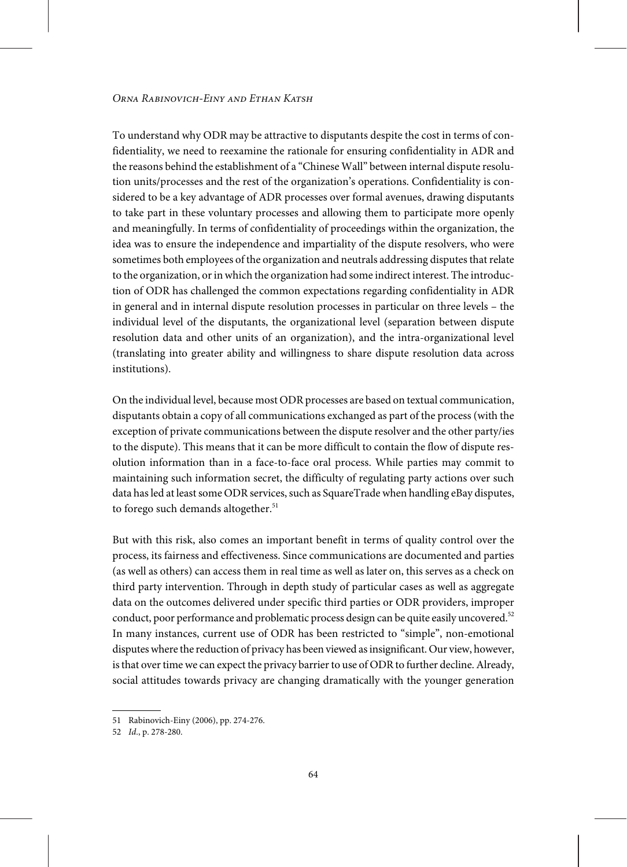To understand why ODR may be attractive to disputants despite the cost in terms of confidentiality, we need to reexamine the rationale for ensuring confidentiality in ADR and the reasons behind the establishment of a "Chinese Wall" between internal dispute resolution units/processes and the rest of the organization's operations. Confidentiality is considered to be a key advantage of ADR processes over formal avenues, drawing disputants to take part in these voluntary processes and allowing them to participate more openly and meaningfully. In terms of confidentiality of proceedings within the organization, the idea was to ensure the independence and impartiality of the dispute resolvers, who were sometimes both employees of the organization and neutrals addressing disputes that relate to the organization, or in which the organization had some indirect interest. The introduction of ODR has challenged the common expectations regarding confidentiality in ADR in general and in internal dispute resolution processes in particular on three levels – the individual level of the disputants, the organizational level (separation between dispute resolution data and other units of an organization), and the intra-organizational level (translating into greater ability and willingness to share dispute resolution data across institutions).

On the individual level, because most ODR processes are based on textual communication, disputants obtain a copy of all communications exchanged as part of the process (with the exception of private communications between the dispute resolver and the other party/ies to the dispute). This means that it can be more difficult to contain the flow of dispute resolution information than in a face-to-face oral process. While parties may commit to maintaining such information secret, the difficulty of regulating party actions over such data has led at least some ODR services, such as SquareTrade when handling eBay disputes, to forego such demands altogether. $51$ 

But with this risk, also comes an important benefit in terms of quality control over the process, its fairness and effectiveness. Since communications are documented and parties (as well as others) can access them in real time as well as later on, this serves as a check on third party intervention. Through in depth study of particular cases as well as aggregate data on the outcomes delivered under specific third parties or ODR providers, improper conduct, poor performance and problematic process design can be quite easily uncovered.<sup>52</sup> In many instances, current use of ODR has been restricted to "simple", non-emotional disputes where the reduction of privacy has been viewed as insignificant. Our view, however, is that over time we can expect the privacy barrier to use of ODR to further decline. Already, social attitudes towards privacy are changing dramatically with the younger generation

<sup>51</sup> Rabinovich-Einy (2006), pp. 274-276.

<sup>52</sup> Id., p. 278-280.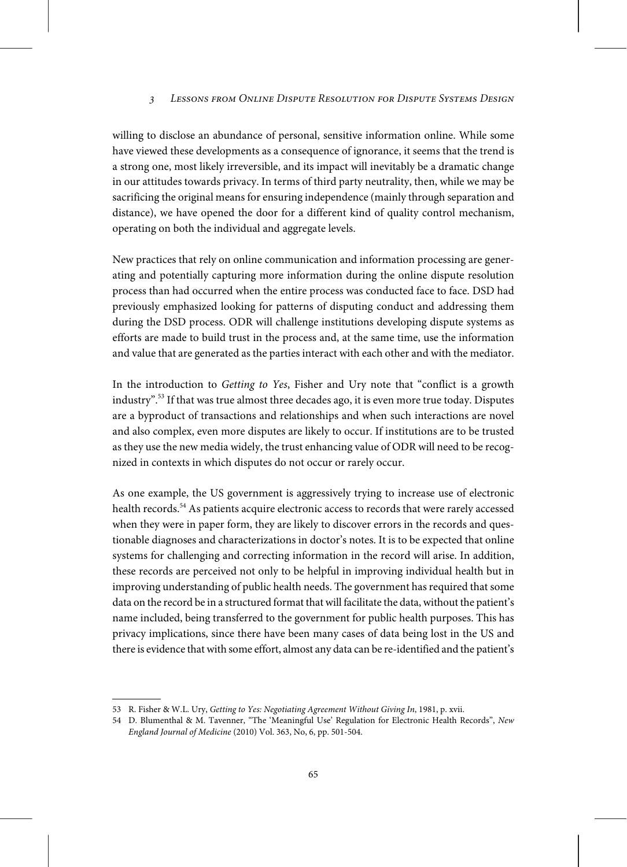willing to disclose an abundance of personal, sensitive information online. While some have viewed these developments as a consequence of ignorance, it seems that the trend is a strong one, most likely irreversible, and its impact will inevitably be a dramatic change in our attitudes towards privacy. In terms of third party neutrality, then, while we may be sacrificing the original means for ensuring independence (mainly through separation and distance), we have opened the door for a different kind of quality control mechanism, operating on both the individual and aggregate levels.

New practices that rely on online communication and information processing are generating and potentially capturing more information during the online dispute resolution process than had occurred when the entire process was conducted face to face. DSD had previously emphasized looking for patterns of disputing conduct and addressing them during the DSD process. ODR will challenge institutions developing dispute systems as efforts are made to build trust in the process and, at the same time, use the information and value that are generated as the parties interact with each other and with the mediator.

In the introduction to Getting to Yes, Fisher and Ury note that "conflict is a growth industry". <sup>53</sup> If that was true almost three decades ago, it is even more true today. Disputes are a byproduct of transactions and relationships and when such interactions are novel and also complex, even more disputes are likely to occur. If institutions are to be trusted as they use the new media widely, the trust enhancing value of ODR will need to be recognized in contexts in which disputes do not occur or rarely occur.

As one example, the US government is aggressively trying to increase use of electronic health records.<sup>54</sup> As patients acquire electronic access to records that were rarely accessed when they were in paper form, they are likely to discover errors in the records and questionable diagnoses and characterizations in doctor's notes. It is to be expected that online systems for challenging and correcting information in the record will arise. In addition, these records are perceived not only to be helpful in improving individual health but in improving understanding of public health needs. The government has required that some data on the record be in a structured format that will facilitate the data, without the patient's name included, being transferred to the government for public health purposes. This has privacy implications, since there have been many cases of data being lost in the US and there is evidence thatwith some effort, almost any data can be re-identified and the patient's

<sup>53</sup> R. Fisher & W.L. Ury, Getting to Yes: Negotiating Agreement Without Giving In, 1981, p. xvii.

<sup>54</sup> D. Blumenthal & M. Tavenner, "The 'Meaningful Use' Regulation for Electronic Health Records", New England Journal of Medicine (2010) Vol. 363, No, 6, pp. 501-504.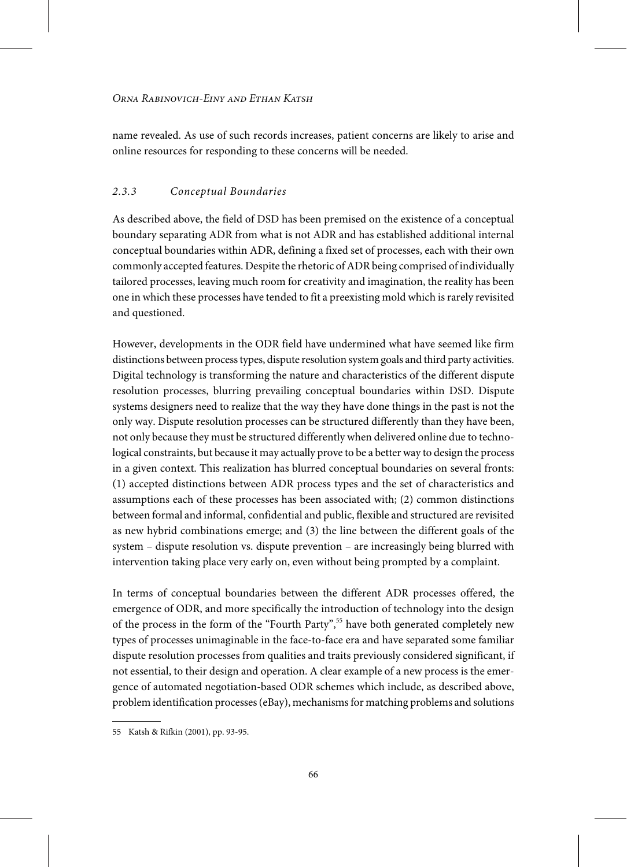name revealed. As use of such records increases, patient concerns are likely to arise and online resources for responding to these concerns will be needed.

#### 2.3.3 Conceptual Boundaries

As described above, the field of DSD has been premised on the existence of a conceptual boundary separating ADR from what is not ADR and has established additional internal conceptual boundaries within ADR, defining a fixed set of processes, each with their own commonly accepted features. Despite the rhetoric of ADR being comprised of individually tailored processes, leaving much room for creativity and imagination, the reality has been one in which these processes have tended to fit a preexisting mold which is rarely revisited and questioned.

However, developments in the ODR field have undermined what have seemed like firm distinctions between processtypes, dispute resolution system goals and third party activities. Digital technology is transforming the nature and characteristics of the different dispute resolution processes, blurring prevailing conceptual boundaries within DSD. Dispute systems designers need to realize that the way they have done things in the past is not the only way. Dispute resolution processes can be structured differently than they have been, not only because they must be structured differently when delivered online due to technological constraints, but because it may actually prove to be a better way to design the process in a given context. This realization has blurred conceptual boundaries on several fronts: (1) accepted distinctions between ADR process types and the set of characteristics and assumptions each of these processes has been associated with; (2) common distinctions between formal and informal, confidential and public, flexible and structured are revisited as new hybrid combinations emerge; and (3) the line between the different goals of the system – dispute resolution vs. dispute prevention – are increasingly being blurred with intervention taking place very early on, even without being prompted by a complaint.

In terms of conceptual boundaries between the different ADR processes offered, the emergence of ODR, and more specifically the introduction of technology into the design of the process in the form of the "Fourth Party", <sup>55</sup> have both generated completely new types of processes unimaginable in the face-to-face era and have separated some familiar dispute resolution processes from qualities and traits previously considered significant, if not essential, to their design and operation. A clear example of a new process is the emergence of automated negotiation-based ODR schemes which include, as described above, problem identification processes(eBay), mechanismsfor matching problems and solutions

<sup>55</sup> Katsh & Rifkin (2001), pp. 93-95.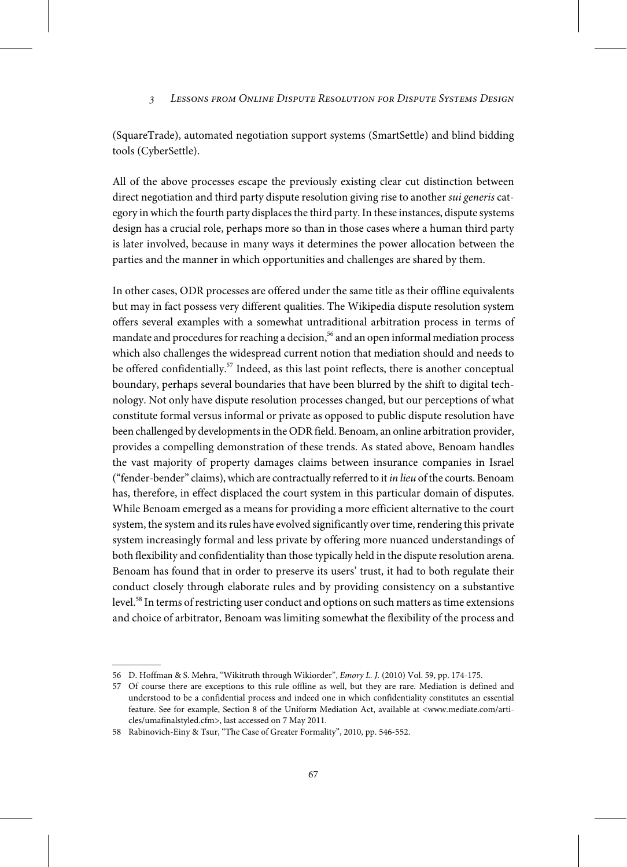(SquareTrade), automated negotiation support systems (SmartSettle) and blind bidding tools (CyberSettle).

All of the above processes escape the previously existing clear cut distinction between direct negotiation and third party dispute resolution giving rise to another *sui generis* category in which the fourth party displaces the third party. In these instances, dispute systems design has a crucial role, perhaps more so than in those cases where a human third party is later involved, because in many ways it determines the power allocation between the parties and the manner in which opportunities and challenges are shared by them.

In other cases, ODR processes are offered under the same title as their offline equivalents but may in fact possess very different qualities. The Wikipedia dispute resolution system offers several examples with a somewhat untraditional arbitration process in terms of mandate and procedures for reaching a decision,<sup>56</sup> and an open informal mediation process which also challenges the widespread current notion that mediation should and needs to be offered confidentially.<sup>57</sup> Indeed, as this last point reflects, there is another conceptual boundary, perhaps several boundaries that have been blurred by the shift to digital technology. Not only have dispute resolution processes changed, but our perceptions of what constitute formal versus informal or private as opposed to public dispute resolution have been challenged by developments in the ODR field. Benoam, an online arbitration provider, provides a compelling demonstration of these trends. As stated above, Benoam handles the vast majority of property damages claims between insurance companies in Israel ("fender-bender" claims), which are contractually referred to it in lieu of the courts. Benoam has, therefore, in effect displaced the court system in this particular domain of disputes. While Benoam emerged as a means for providing a more efficient alternative to the court system, the system and its rules have evolved significantly over time, rendering this private system increasingly formal and less private by offering more nuanced understandings of both flexibility and confidentiality than those typically held in the dispute resolution arena. Benoam has found that in order to preserve its users' trust, it had to both regulate their conduct closely through elaborate rules and by providing consistency on a substantive level.<sup>58</sup> In terms of restricting user conduct and options on such matters as time extensions and choice of arbitrator, Benoam was limiting somewhat the flexibility of the process and

<sup>56</sup> D. Hoffman & S. Mehra, "Wikitruth through Wikiorder", Emory L. J. (2010) Vol. 59, pp. 174-175.

<sup>57</sup> Of course there are exceptions to this rule offline as well, but they are rare. Mediation is defined and understood to be a confidential process and indeed one in which confidentiality constitutes an essential feature. See for example, Section 8 of the Uniform Mediation Act, available at <www.mediate.com/articles/umafinalstyled.cfm>, last accessed on 7 May 2011.

<sup>58</sup> Rabinovich-Einy & Tsur, "The Case of Greater Formality", 2010, pp. 546-552.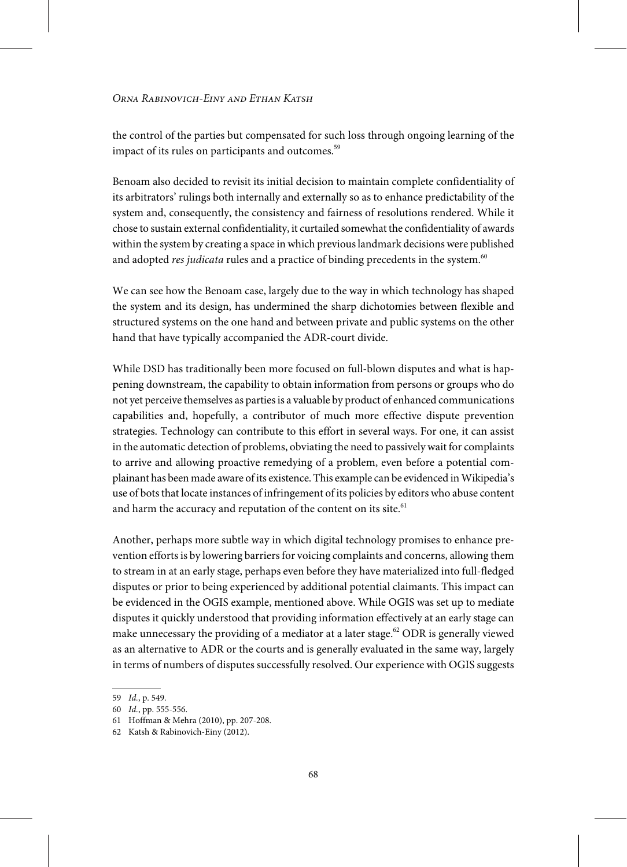the control of the parties but compensated for such loss through ongoing learning of the impact of its rules on participants and outcomes.<sup>59</sup>

Benoam also decided to revisit its initial decision to maintain complete confidentiality of its arbitrators' rulings both internally and externally so as to enhance predictability of the system and, consequently, the consistency and fairness of resolutions rendered. While it chose to sustain external confidentiality, it curtailed somewhat the confidentiality of awards within the system by creating a space in which previous landmark decisions were published and adopted *res judicata* rules and a practice of binding precedents in the system.<sup>60</sup>

We can see how the Benoam case, largely due to the way in which technology has shaped the system and its design, has undermined the sharp dichotomies between flexible and structured systems on the one hand and between private and public systems on the other hand that have typically accompanied the ADR-court divide.

While DSD has traditionally been more focused on full-blown disputes and what is happening downstream, the capability to obtain information from persons or groups who do not yet perceive themselves as partiesis a valuable by product of enhanced communications capabilities and, hopefully, a contributor of much more effective dispute prevention strategies. Technology can contribute to this effort in several ways. For one, it can assist in the automatic detection of problems, obviating the need to passively wait for complaints to arrive and allowing proactive remedying of a problem, even before a potential complainant has been made aware of its existence. This example can be evidenced in Wikipedia's use of bots that locate instances of infringement of its policies by editors who abuse content and harm the accuracy and reputation of the content on its site.<sup>61</sup>

Another, perhaps more subtle way in which digital technology promises to enhance prevention efforts is by lowering barriers for voicing complaints and concerns, allowing them to stream in at an early stage, perhaps even before they have materialized into full-fledged disputes or prior to being experienced by additional potential claimants. This impact can be evidenced in the OGIS example, mentioned above. While OGIS was set up to mediate disputes it quickly understood that providing information effectively at an early stage can make unnecessary the providing of a mediator at a later stage.<sup>62</sup> ODR is generally viewed as an alternative to ADR or the courts and is generally evaluated in the same way, largely in terms of numbers of disputes successfully resolved. Our experience with OGIS suggests

<sup>59</sup> Id., p. 549.

<sup>60</sup> Id., pp. 555-556.

<sup>61</sup> Hoffman & Mehra (2010), pp. 207-208.

<sup>62</sup> Katsh & Rabinovich-Einy (2012).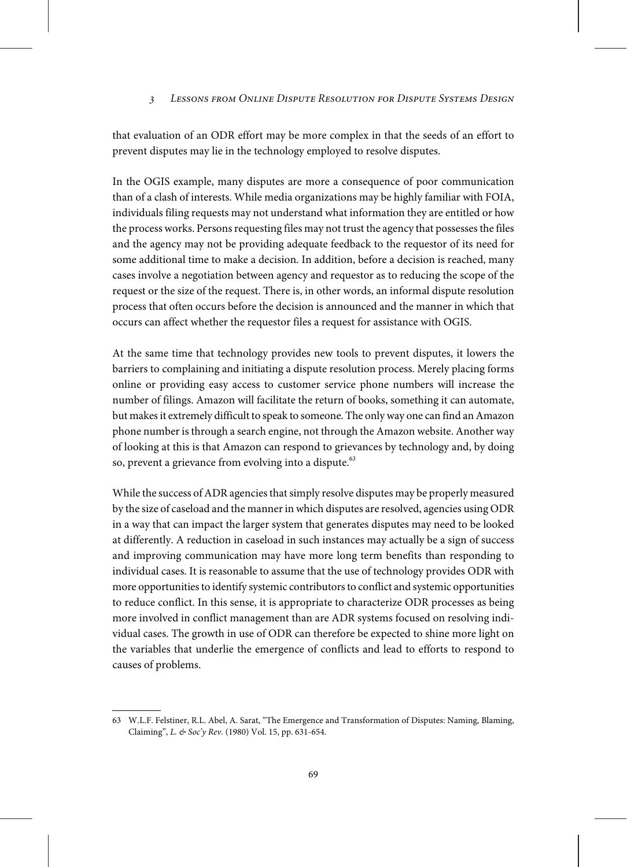that evaluation of an ODR effort may be more complex in that the seeds of an effort to prevent disputes may lie in the technology employed to resolve disputes.

In the OGIS example, many disputes are more a consequence of poor communication than of a clash of interests. While media organizations may be highly familiar with FOIA, individuals filing requests may not understand what information they are entitled or how the process works. Persons requesting files may not trust the agency that possesses the files and the agency may not be providing adequate feedback to the requestor of its need for some additional time to make a decision. In addition, before a decision is reached, many cases involve a negotiation between agency and requestor as to reducing the scope of the request or the size of the request. There is, in other words, an informal dispute resolution process that often occurs before the decision is announced and the manner in which that occurs can affect whether the requestor files a request for assistance with OGIS.

At the same time that technology provides new tools to prevent disputes, it lowers the barriers to complaining and initiating a dispute resolution process. Merely placing forms online or providing easy access to customer service phone numbers will increase the number of filings. Amazon will facilitate the return of books, something it can automate, but makes it extremely difficult to speak to someone. The only way one can find an Amazon phone number is through a search engine, not through the Amazon website. Another way of looking at this is that Amazon can respond to grievances by technology and, by doing so, prevent a grievance from evolving into a dispute.<sup>63</sup>

While the success of ADR agencies that simply resolve disputes may be properly measured by the size of caseload and the manner in which disputes are resolved, agencies using ODR in a way that can impact the larger system that generates disputes may need to be looked at differently. A reduction in caseload in such instances may actually be a sign of success and improving communication may have more long term benefits than responding to individual cases. It is reasonable to assume that the use of technology provides ODR with more opportunities to identify systemic contributors to conflict and systemic opportunities to reduce conflict. In this sense, it is appropriate to characterize ODR processes as being more involved in conflict management than are ADR systems focused on resolving individual cases. The growth in use of ODR can therefore be expected to shine more light on the variables that underlie the emergence of conflicts and lead to efforts to respond to causes of problems.

<sup>63</sup> W.L.F. Felstiner, R.L. Abel, A. Sarat, "The Emergence and Transformation of Disputes: Naming, Blaming, Claiming", L. & Soc'y Rev. (1980) Vol. 15, pp. 631-654.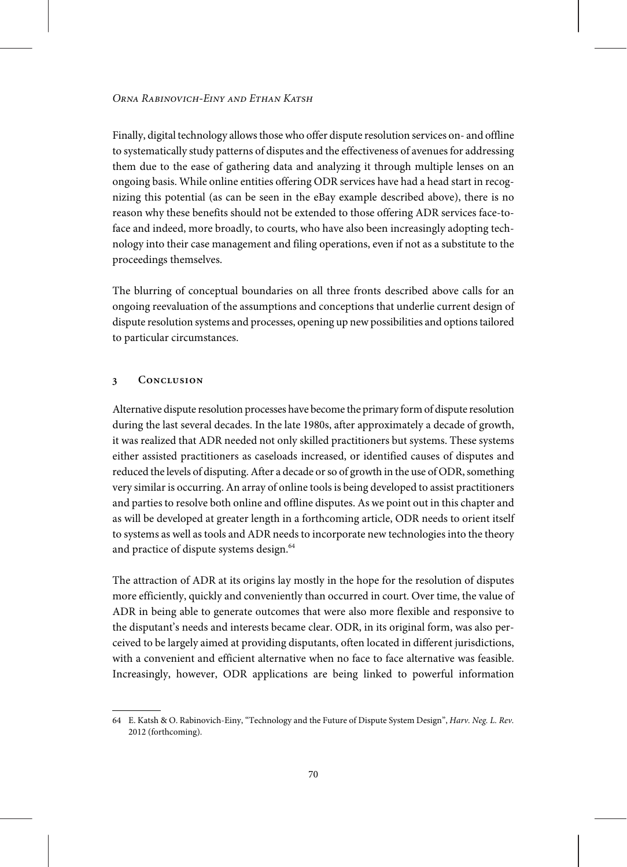Finally, digital technology allows those who offer dispute resolution services on- and offline to systematically study patterns of disputes and the effectiveness of avenuesfor addressing them due to the ease of gathering data and analyzing it through multiple lenses on an ongoing basis. While online entities offering ODR services have had a head start in recognizing this potential (as can be seen in the eBay example described above), there is no reason why these benefits should not be extended to those offering ADR services face-toface and indeed, more broadly, to courts, who have also been increasingly adopting technology into their case management and filing operations, even if not as a substitute to the proceedings themselves.

The blurring of conceptual boundaries on all three fronts described above calls for an ongoing reevaluation of the assumptions and conceptions that underlie current design of dispute resolution systems and processes, opening up newpossibilities and optionstailored to particular circumstances.

#### **3 Conclusion**

Alternative dispute resolution processes have become the primary form of dispute resolution during the last several decades. In the late 1980s, after approximately a decade of growth, it was realized that ADR needed not only skilled practitioners but systems. These systems either assisted practitioners as caseloads increased, or identified causes of disputes and reduced the levels of disputing. After a decade or so of growth in the use of ODR, something very similar is occurring. An array of online tools is being developed to assist practitioners and parties to resolve both online and offline disputes. As we point out in this chapter and as will be developed at greater length in a forthcoming article, ODR needs to orient itself to systems as well as tools and ADR needs to incorporate new technologies into the theory and practice of dispute systems design.<sup>64</sup>

The attraction of ADR at its origins lay mostly in the hope for the resolution of disputes more efficiently, quickly and conveniently than occurred in court. Over time, the value of ADR in being able to generate outcomes that were also more flexible and responsive to the disputant's needs and interests became clear. ODR, in its original form, was also perceived to be largely aimed at providing disputants, often located in different jurisdictions, with a convenient and efficient alternative when no face to face alternative was feasible. Increasingly, however, ODR applications are being linked to powerful information

<sup>64</sup> E. Katsh & O. Rabinovich-Einy, "Technology and the Future of Dispute System Design", Harv. Neg. L. Rev. 2012 (forthcoming).